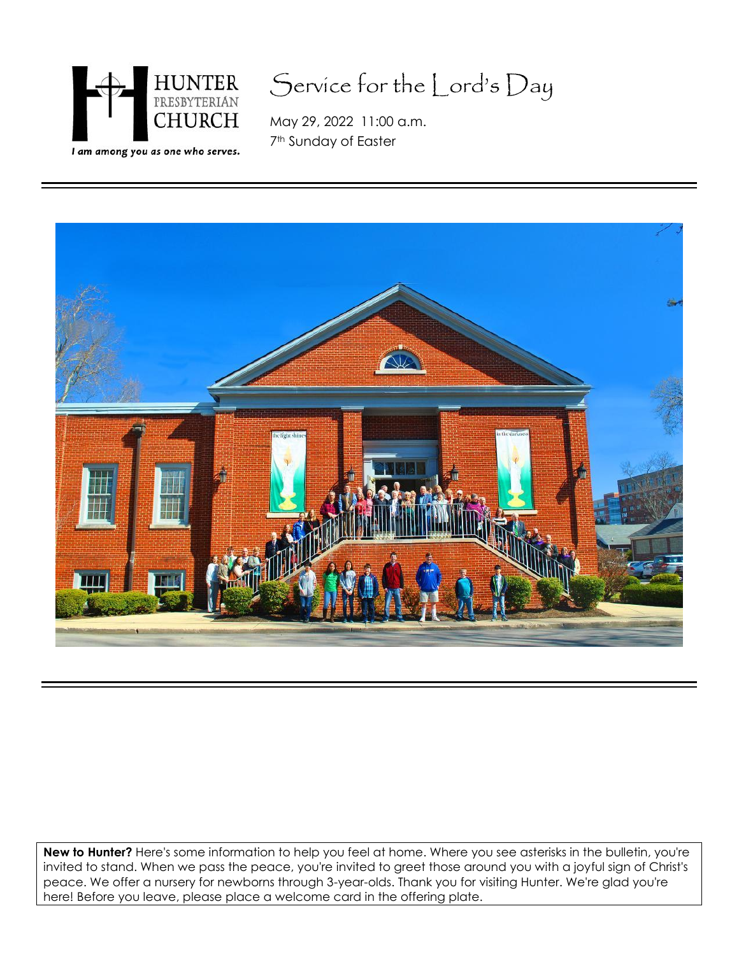

# Service for the Lord's Day

May 29, 2022 11:00 a.m. 7<sup>th</sup> Sunday of Easter



**New to Hunter?** Here's some information to help you feel at home. Where you see asterisks in the bulletin, you're invited to stand. When we pass the peace, you're invited to greet those around you with a joyful sign of Christ's peace. We offer a nursery for newborns through 3-year-olds. Thank you for visiting Hunter. We're glad you're here! Before you leave, please place a welcome card in the offering plate.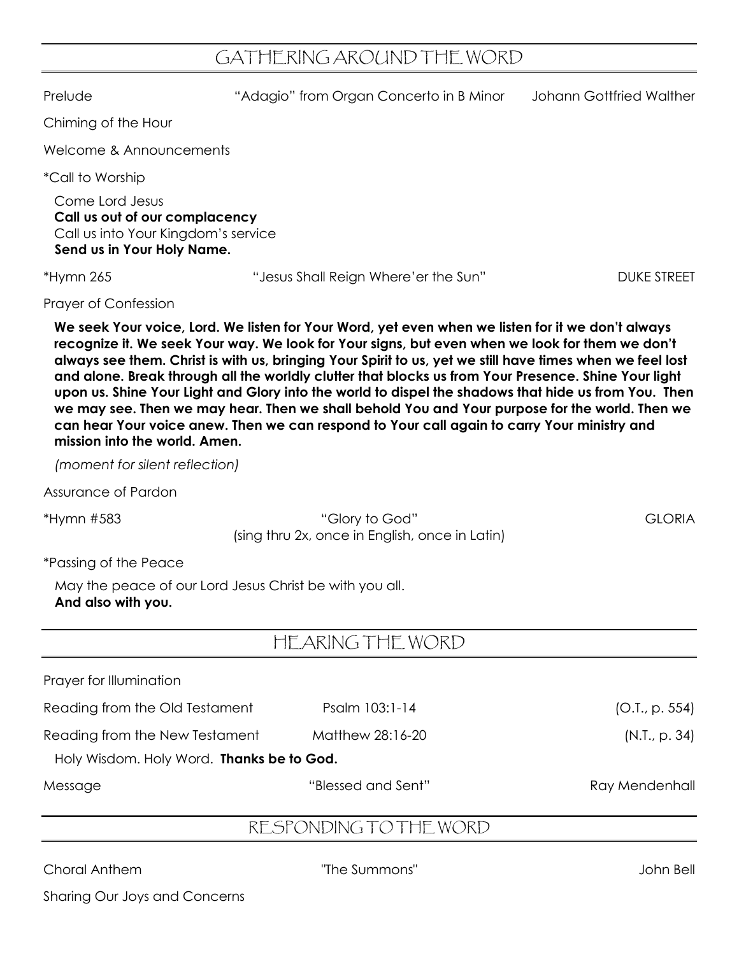## GATHERING AROUND THE WORD

Prelude "Adagio" from Organ Concerto in B Minor Johann Gottfried Walther Chiming of the Hour Welcome & Announcements \*Call to Worship Come Lord Jesus **Call us out of our complacency** Call us into Your Kingdom's service **Send us in Your Holy Name.** \*Hymn 265 "Jesus Shall Reign Where'er the Sun" DUKE STREET Prayer of Confession **We seek Your voice, Lord. We listen for Your Word, yet even when we listen for it we don't always recognize it. We seek Your way. We look for Your signs, but even when we look for them we don't always see them. Christ is with us, bringing Your Spirit to us, yet we still have times when we feel lost and alone. Break through all the worldly clutter that blocks us from Your Presence. Shine Your light upon us. Shine Your Light and Glory into the world to dispel the shadows that hide us from You. Then we may see. Then we may hear. Then we shall behold You and Your purpose for the world. Then we can hear Your voice anew. Then we can respond to Your call again to carry Your ministry and mission into the world. Amen.** *(moment for silent reflection)* Assurance of Pardon \*Hymn #583 "Glory to God" GLORIA (sing thru 2x, once in English, once in Latin) \*Passing of the Peace May the peace of our Lord Jesus Christ be with you all. **And also with you.** HEARING THE WORD Prayer for Illumination Reading from the Old Testament Psalm 103:1-14 (O.T., p. 554) Reading from the New Testament Matthew 28:16-20 (N.T., p. 34)

Holy Wisdom. Holy Word. **Thanks be to God.**

Message "Blessed and Sent" Ray Mendenhall

## RESPONDING TO THE WORD

Choral Anthem "The Summons" John Bell

Sharing Our Joys and Concerns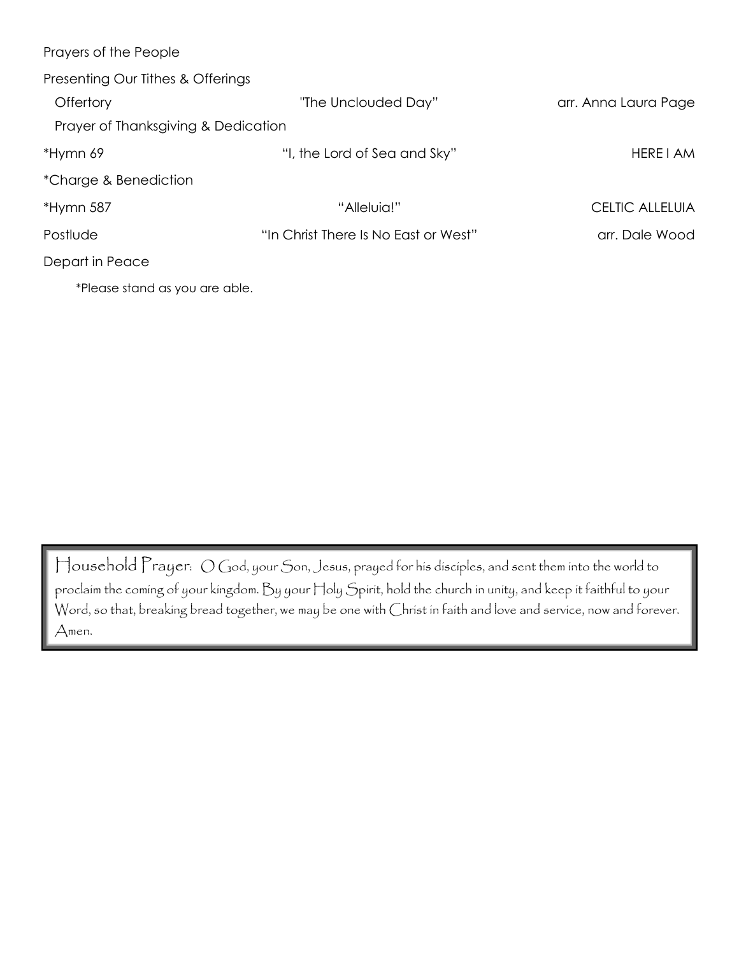| Prayers of the People               |                                      |                        |
|-------------------------------------|--------------------------------------|------------------------|
| Presenting Our Tithes & Offerings   |                                      |                        |
| Offertory                           | "The Unclouded Day"                  | arr. Anna Laura Page   |
| Prayer of Thanksgiving & Dedication |                                      |                        |
| *Hymn 69                            | "I, the Lord of Sea and Sky"         | HERE I AM              |
| *Charge & Benediction               |                                      |                        |
| *Hymn 587                           | "Alleluia!"                          | <b>CELTIC ALLELUIA</b> |
| Postlude                            | "In Christ There Is No East or West" | arr. Dale Wood         |
| Depart in Peace                     |                                      |                        |
| *Please stand as you are able.      |                                      |                        |

Household Prayer: O God, your Son, Jesus, prayed for his disciples, and sent them into the world to proclaim the coming of your kingdom. By your Holy Spirit, hold the church in unity, and keep it faithful to your Word, so that, breaking bread together, we may be one with Christ in faith and love and service, now and forever. Amen.